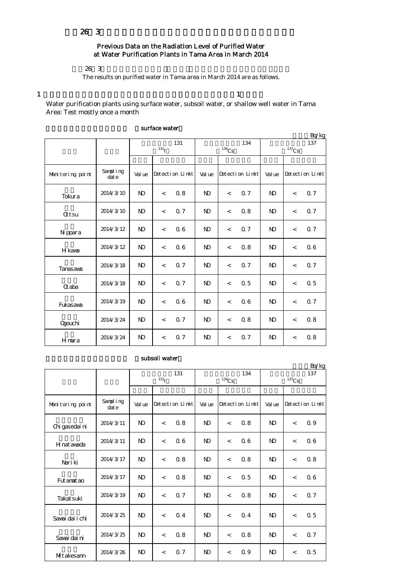### $263$

# Previous Data on the Radiation Level of Purified Water at Water Purification Plants in Tama Area in March 2014

 $26\,3$ 

The results on purified water in Tama area in March 2014 are as follows.

1  $\,$  1

Water purification plants using surface water, subsoil water, or shallow well water in Tama Area: Test mostly once a month

|                  |                   |                           |                 |                |                |                          |                |                 |                          | Bq/kg          |
|------------------|-------------------|---------------------------|-----------------|----------------|----------------|--------------------------|----------------|-----------------|--------------------------|----------------|
|                  |                   | 131<br>$131$ <sub>I</sub> |                 |                |                | $^{134}\mathrm{Cs}$      | 134            | 137<br>$137$ Cs |                          |                |
|                  |                   |                           |                 |                |                |                          |                |                 |                          |                |
| Monitoring point | Sampling<br>dat e | Val ue                    | Detection Limit |                | Val ue         | Detection Limit          |                | Val ue          | Detection Limit          |                |
| Tokura           | 2014/3/10         | $\mathbf{D}$              | $\lt$           | 0.8            | <b>ND</b>      | $\lt$                    | 0.7            | N <sub>D</sub>  | $\overline{\phantom{a}}$ | Q <sub>7</sub> |
| $Q$ tsu          | 2014/3/10         | $\mathbf{D}$              | $\overline{a}$  | 0.7            | <b>ND</b>      | $\lt$                    | 0.8            | N <sub>D</sub>  | $\lt$                    | 0.7            |
| N ppara          | 2014/3/12         | $\mathbf{D}$              | $\lt$           | 06             | N <sub>D</sub> | $\overline{\phantom{a}}$ | Q <sub>7</sub> | <b>N</b>        | $\lt$                    | Q 7            |
| H kava           | 2014/3/12         | N <sub>D</sub>            | $\,<$           | 06             | $\mathbf{D}$   | $\,<$                    | 0.8            | N <sub>D</sub>  | $\,<$                    | 06             |
| Tanasawa         | 2014/3/18         | $\mathbf{D}$              | $\,<$           | Q <sub>7</sub> | N <sub>D</sub> | $\,<$                    | Q <sub>7</sub> | N <sub>D</sub>  | $\lt$                    | 0.7            |
| Craba            | 2014/3/18         | $\mathbf{D}$              | $\overline{a}$  | 0.7            | N <sub>D</sub> | $\lt$                    | $\Omega$ 5     | <b>N</b>        | $\overline{\phantom{a}}$ | $\Omega$ 5     |
| Fukasawa         | 2014/3/19         | $\mathbf{D}$              | $\lt$           | 06             | $\mathbf{N}$   | $\overline{\phantom{a}}$ | 06             | N <sub>D</sub>  | $\lt$                    | Q <sub>7</sub> |
| Ogouchi          | 2014/3/24         | N <sub>D</sub>            | $\overline{a}$  | 0.7            | $\mathbf{D}$   | $\overline{\phantom{a}}$ | 0.8            | N <sub>D</sub>  | $\,<$                    | 08             |
| Hmura            | 2014/3/24         | N <sub>D</sub>            | $\,<$           | 0.7            | $\mathbf{D}$   | $\,<$                    | 0.7            | N <sub>D</sub>  | $\,<$                    | 0.8            |

## surface water

#### subsoil water

|                  |                   |                   |                          |                 |              |                          |                 |                            |                | Bq/kg           |  |
|------------------|-------------------|-------------------|--------------------------|-----------------|--------------|--------------------------|-----------------|----------------------------|----------------|-----------------|--|
|                  |                   | 131<br>$^{131}$ I |                          |                 |              | $^{134}\mathrm{Cs}$      | 134             | 137<br>$^{137}\mathrm{Cs}$ |                |                 |  |
|                  |                   |                   |                          |                 |              |                          |                 |                            |                |                 |  |
| Monitoring point | Sampling<br>dat e | Val ue            |                          | Detection Limit | Val ue       |                          | Detection Limit | Val ue                     |                | Detection Limit |  |
| Chi gasedai ni   | 2014/3/11         | N <sub>D</sub>    | $\,<$                    | 0.8             | <b>ND</b>    | $\overline{\phantom{a}}$ | 0.8             | N <sub>D</sub>             | $\,<$          | 0.9             |  |
| H nat awada      | 2014/3/11         | $\mathbf{N}$      | $\,<$                    | 06              | $\mathbf{N}$ | $\overline{\phantom{a}}$ | 06              | N <sub>D</sub>             | $\lt$          | 06              |  |
| Nari ki          | 2014/3/17         | $\mathbf{N}$      | $\,<$                    | 0.8             | $\mathbf{N}$ | $\overline{\phantom{a}}$ | 0.8             | N <sub>D</sub>             | $\lt$          | 08              |  |
| Fut anat ao      | 2014/3/17         | $\mathbf{N}$      | $\,<$                    | 0.8             | $\mathbf{N}$ | $\overline{a}$           | 0.5             | N <sub>D</sub>             | $\lt$          | 06              |  |
| Takat suki       | 2014/3/19         | N <sub>D</sub>    | $\,<$                    | 0.7             | $\mathbf{D}$ | $\overline{\phantom{a}}$ | 0.8             | N <sub>D</sub>             | $\overline{a}$ | 07              |  |
| Sawai dai i chi  | 2014/3/25         | $\mathbf{N}$      | $\,<$                    | $\Omega$ 4      | $\mathbf{N}$ | $\overline{\phantom{a}}$ | $\Omega$ 4      | N <sub>D</sub>             | $\lt$          | 0 <sub>5</sub>  |  |
| Sawai dai ni     | 2014/3/25         | $\mathbf{N}$      | $\,<$                    | 08              | $\mathbf{N}$ | $\overline{\phantom{a}}$ | 08              | N <sub>D</sub>             | $\lt$          | Q 7             |  |
| MItakesann       | 2014/3/26         | $\mathbf{N}$      | $\overline{\phantom{a}}$ | 0.7             | $\mathbf{N}$ | $\lt$                    | 0.9             | $\mathbf{N}$               | $\,<\,$        | 0.5             |  |